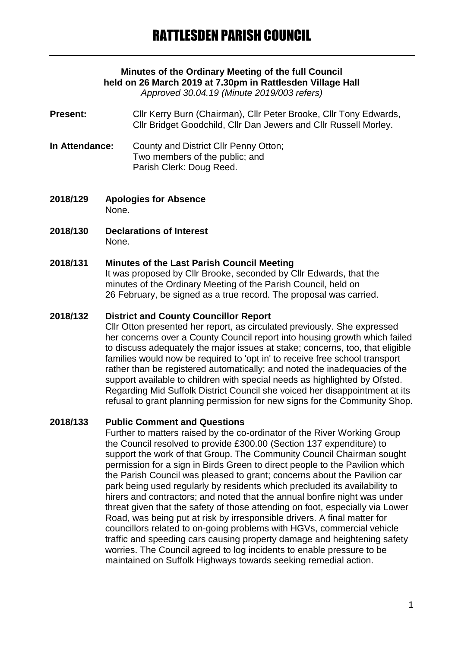# **Minutes of the Ordinary Meeting of the full Council held on 26 March 2019 at 7.30pm in Rattlesden Village Hall**

*Approved 30.04.19 (Minute 2019/003 refers)*

- **Present:** Cllr Kerry Burn (Chairman), Cllr Peter Brooke, Cllr Tony Edwards, Cllr Bridget Goodchild, Cllr Dan Jewers and Cllr Russell Morley.
- **In Attendance:** County and District Cllr Penny Otton; Two members of the public; and Parish Clerk: Doug Reed.
- **2018/129 Apologies for Absence** None.
- **2018/130 Declarations of Interest** None.

### **2018/131 Minutes of the Last Parish Council Meeting**

It was proposed by Cllr Brooke, seconded by Cllr Edwards, that the minutes of the Ordinary Meeting of the Parish Council, held on 26 February, be signed as a true record. The proposal was carried.

#### **2018/132 District and County Councillor Report**

Cllr Otton presented her report, as circulated previously. She expressed her concerns over a County Council report into housing growth which failed to discuss adequately the major issues at stake; concerns, too, that eligible families would now be required to 'opt in' to receive free school transport rather than be registered automatically; and noted the inadequacies of the support available to children with special needs as highlighted by Ofsted. Regarding Mid Suffolk District Council she voiced her disappointment at its refusal to grant planning permission for new signs for the Community Shop.

### **2018/133 Public Comment and Questions**

Further to matters raised by the co-ordinator of the River Working Group the Council resolved to provide £300.00 (Section 137 expenditure) to support the work of that Group. The Community Council Chairman sought permission for a sign in Birds Green to direct people to the Pavilion which the Parish Council was pleased to grant; concerns about the Pavilion car park being used regularly by residents which precluded its availability to hirers and contractors; and noted that the annual bonfire night was under threat given that the safety of those attending on foot, especially via Lower Road, was being put at risk by irresponsible drivers. A final matter for councillors related to on-going problems with HGVs, commercial vehicle traffic and speeding cars causing property damage and heightening safety worries. The Council agreed to log incidents to enable pressure to be maintained on Suffolk Highways towards seeking remedial action.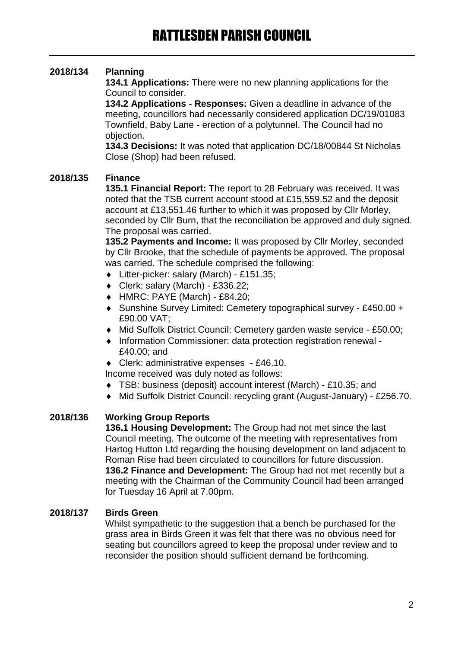## **2018/134 Planning**

**134.1 Applications:** There were no new planning applications for the Council to consider.

**134.2 Applications - Responses:** Given a deadline in advance of the meeting, councillors had necessarily considered application DC/19/01083 Townfield, Baby Lane - erection of a polytunnel. The Council had no objection.

**134.3 Decisions:** It was noted that application DC/18/00844 St Nicholas Close (Shop) had been refused.

### **2018/135 Finance**

**135.1 Financial Report:** The report to 28 February was received. It was noted that the TSB current account stood at £15,559.52 and the deposit account at £13,551.46 further to which it was proposed by Cllr Morley, seconded by Cllr Burn, that the reconciliation be approved and duly signed. The proposal was carried.

**135.2 Payments and Income:** It was proposed by Cllr Morley, seconded by Cllr Brooke, that the schedule of payments be approved. The proposal was carried. The schedule comprised the following:

- Litter-picker: salary (March) £151.35;
- Clerk: salary (March) £336.22;
- $\leftrightarrow$  HMRC: PAYE (March) £84.20;
- Sunshine Survey Limited: Cemetery topographical survey £450.00 + £90.00 VAT;
- Mid Suffolk District Council: Cemetery garden waste service £50.00;
- Information Commissioner: data protection registration renewal £40.00; and
- Clerk: administrative expenses £46.10.
- Income received was duly noted as follows:
- TSB: business (deposit) account interest (March) £10.35; and
- Mid Suffolk District Council: recycling grant (August-January) £256.70.

### **2018/136 Working Group Reports**

**136.1 Housing Development:** The Group had not met since the last Council meeting. The outcome of the meeting with representatives from Hartog Hutton Ltd regarding the housing development on land adjacent to Roman Rise had been circulated to councillors for future discussion. **136.2 Finance and Development:** The Group had not met recently but a meeting with the Chairman of the Community Council had been arranged for Tuesday 16 April at 7.00pm.

### **2018/137 Birds Green**

Whilst sympathetic to the suggestion that a bench be purchased for the grass area in Birds Green it was felt that there was no obvious need for seating but councillors agreed to keep the proposal under review and to reconsider the position should sufficient demand be forthcoming.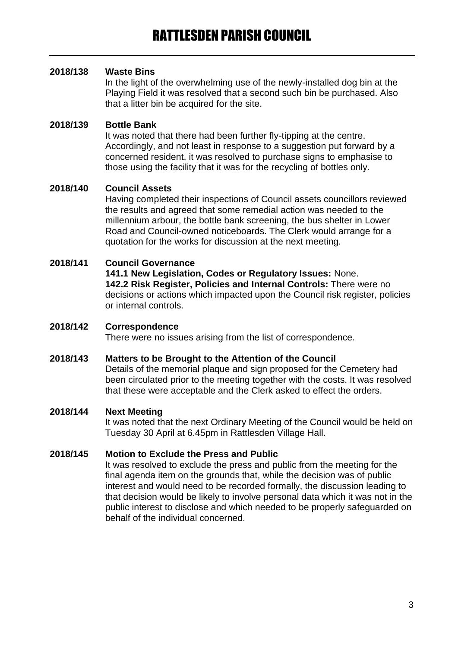### **2018/138 Waste Bins**

In the light of the overwhelming use of the newly-installed dog bin at the Playing Field it was resolved that a second such bin be purchased. Also that a litter bin be acquired for the site.

### **2018/139 Bottle Bank**

It was noted that there had been further fly-tipping at the centre. Accordingly, and not least in response to a suggestion put forward by a concerned resident, it was resolved to purchase signs to emphasise to those using the facility that it was for the recycling of bottles only.

### **2018/140 Council Assets**

Having completed their inspections of Council assets councillors reviewed the results and agreed that some remedial action was needed to the millennium arbour, the bottle bank screening, the bus shelter in Lower Road and Council-owned noticeboards. The Clerk would arrange for a quotation for the works for discussion at the next meeting.

### **2018/141 Council Governance**

**141.1 New Legislation, Codes or Regulatory Issues:** None. **142.2 Risk Register, Policies and Internal Controls:** There were no decisions or actions which impacted upon the Council risk register, policies or internal controls.

### **2018/142 Correspondence**

There were no issues arising from the list of correspondence.

### **2018/143 Matters to be Brought to the Attention of the Council**

Details of the memorial plaque and sign proposed for the Cemetery had been circulated prior to the meeting together with the costs. It was resolved that these were acceptable and the Clerk asked to effect the orders.

### **2018/144 Next Meeting**

It was noted that the next Ordinary Meeting of the Council would be held on Tuesday 30 April at 6.45pm in Rattlesden Village Hall.

### **2018/145 Motion to Exclude the Press and Public**

It was resolved to exclude the press and public from the meeting for the final agenda item on the grounds that, while the decision was of public interest and would need to be recorded formally, the discussion leading to that decision would be likely to involve personal data which it was not in the public interest to disclose and which needed to be properly safeguarded on behalf of the individual concerned.